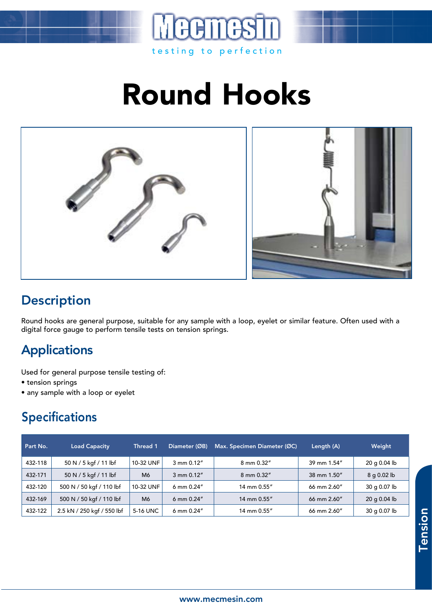

# Round Hooks



#### **Description**

Round hooks are general purpose, suitable for any sample with a loop, eyelet or similar feature. Often used with a digital force gauge to perform tensile tests on tension springs.

### Applications

Used for general purpose tensile testing of:

- tension springs
- any sample with a loop or eyelet

### Specifications

| Part No. | <b>Load Capacity</b>       | Thread 1  | Diameter (ØB)         | Max. Specimen Diameter (ØC) | Length (A)            | Weight         |
|----------|----------------------------|-----------|-----------------------|-----------------------------|-----------------------|----------------|
| 432-118  | 50 N / 5 kgf / 11 lbf      | 10-32 UNF | 3 mm 0.12"            | 8 mm 0.32"                  | 39 mm 1.54"           | 20 g 0.04 lb   |
| 432-171  | 50 N / 5 kgf / 11 lbf      | M6        | $3 \text{ mm} 0.12$ " | 8 mm 0.32"                  | 38 mm 1.50"           | 8 g 0.02 lb    |
| 432-120  | 500 N / 50 kgf / 110 lbf   | 10-32 UNF | 6 mm $0.24''$         | 14 mm 0.55"                 | $66 \text{ mm}$ 2.60" | 30 g 0.07 lb   |
| 432-169  | 500 N / 50 kgf / 110 lbf   | M6        | 6 mm $0.24''$         | 14 mm 0.55"                 | 66 mm 2.60"           | $20$ g 0.04 lb |
| 432-122  | 2.5 kN / 250 kgf / 550 lbf | 5-16 UNC  | 6 mm $0.24''$         | 14 mm 0.55"                 | 66 mm 2.60"           | 30 g 0.07 lb   |